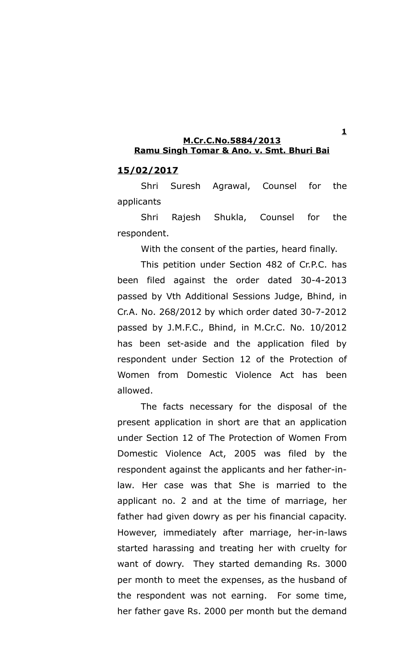### **15/02/2017**

Shri Suresh Agrawal, Counsel for the applicants

Shri Rajesh Shukla, Counsel for the respondent.

With the consent of the parties, heard finally.

This petition under Section 482 of Cr.P.C. has been filed against the order dated 30-4-2013 passed by Vth Additional Sessions Judge, Bhind, in Cr.A. No. 268/2012 by which order dated 30-7-2012 passed by J.M.F.C., Bhind, in M.Cr.C. No. 10/2012 has been set-aside and the application filed by respondent under Section 12 of the Protection of Women from Domestic Violence Act has been allowed.

The facts necessary for the disposal of the present application in short are that an application under Section 12 of The Protection of Women From Domestic Violence Act, 2005 was filed by the respondent against the applicants and her father-inlaw. Her case was that She is married to the applicant no. 2 and at the time of marriage, her father had given dowry as per his financial capacity. However, immediately after marriage, her-in-laws started harassing and treating her with cruelty for want of dowry. They started demanding Rs. 3000 per month to meet the expenses, as the husband of the respondent was not earning. For some time, her father gave Rs. 2000 per month but the demand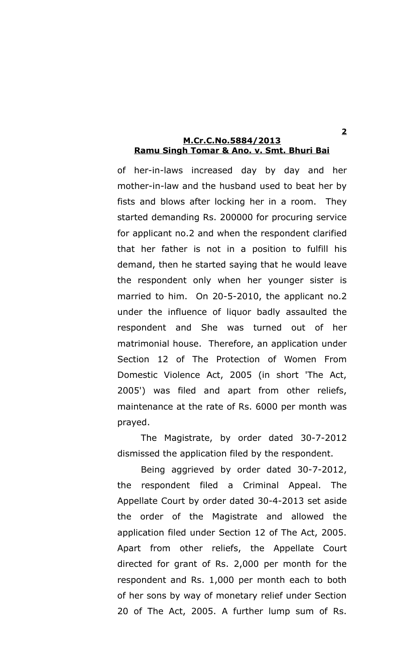of her-in-laws increased day by day and her mother-in-law and the husband used to beat her by fists and blows after locking her in a room. They started demanding Rs. 200000 for procuring service for applicant no.2 and when the respondent clarified that her father is not in a position to fulfill his demand, then he started saying that he would leave the respondent only when her younger sister is married to him. On 20-5-2010, the applicant no.2 under the influence of liquor badly assaulted the respondent and She was turned out of her matrimonial house. Therefore, an application under Section 12 of The Protection of Women From Domestic Violence Act, 2005 (in short 'The Act, 2005') was filed and apart from other reliefs, maintenance at the rate of Rs. 6000 per month was prayed.

The Magistrate, by order dated 30-7-2012 dismissed the application filed by the respondent.

Being aggrieved by order dated 30-7-2012, the respondent filed a Criminal Appeal. The Appellate Court by order dated 30-4-2013 set aside the order of the Magistrate and allowed the application filed under Section 12 of The Act, 2005. Apart from other reliefs, the Appellate Court directed for grant of Rs. 2,000 per month for the respondent and Rs. 1,000 per month each to both of her sons by way of monetary relief under Section 20 of The Act, 2005. A further lump sum of Rs.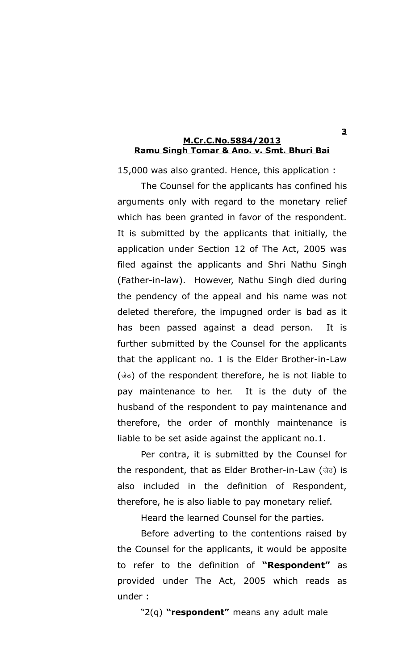15,000 was also granted. Hence, this application :

The Counsel for the applicants has confined his arguments only with regard to the monetary relief which has been granted in favor of the respondent. It is submitted by the applicants that initially, the application under Section 12 of The Act, 2005 was filed against the applicants and Shri Nathu Singh (Father-in-law). However, Nathu Singh died during the pendency of the appeal and his name was not deleted therefore, the impugned order is bad as it has been passed against a dead person. It is further submitted by the Counsel for the applicants that the applicant no. 1 is the Elder Brother-in-Law (जेठ) of the respondent therefore, he is not liable to pay maintenance to her. It is the duty of the husband of the respondent to pay maintenance and therefore, the order of monthly maintenance is liable to be set aside against the applicant no.1.

Per contra, it is submitted by the Counsel for the respondent, that as Elder Brother-in-Law (जेठ) is also included in the definition of Respondent, therefore, he is also liable to pay monetary relief.

Heard the learned Counsel for the parties.

Before adverting to the contentions raised by the Counsel for the applicants, it would be apposite to refer to the definition of **"Respondent"** as provided under The Act, 2005 which reads as under :

"2(q) **"respondent"** means any adult male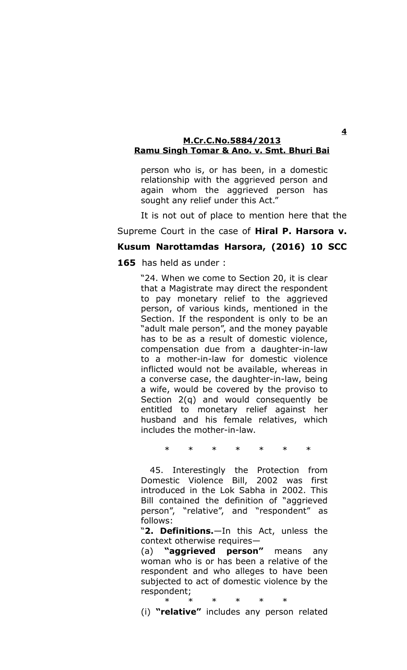person who is, or has been, in a domestic relationship with the aggrieved person and again whom the aggrieved person has sought any relief under this Act."

It is not out of place to mention here that the

# Supreme Court in the case of **Hiral P. Harsora v.**

# **Kusum Narottamdas Harsora, (2016) 10 SCC**

**165** has held as under :

"24. When we come to Section 20, it is clear that a Magistrate may direct the respondent to pay monetary relief to the aggrieved person, of various kinds, mentioned in the Section. If the respondent is only to be an "adult male person", and the money payable has to be as a result of domestic violence, compensation due from a daughter-in-law to a mother-in-law for domestic violence inflicted would not be available, whereas in a converse case, the daughter-in-law, being a wife, would be covered by the proviso to Section 2(q) and would consequently be entitled to monetary relief against her husband and his female relatives, which includes the mother-in-law.

\* \* \* \* \* \* \*

 45. Interestingly the Protection from Domestic Violence Bill, 2002 was first introduced in the Lok Sabha in 2002. This Bill contained the definition of "aggrieved person", "relative", and "respondent" as follows:

"**2. Definitions.**—In this Act, unless the context otherwise requires—

(a) **"aggrieved person"** means any woman who is or has been a relative of the respondent and who alleges to have been subjected to act of domestic violence by the respondent;

\* \* \* \* \* \*

(i) **"relative"** includes any person related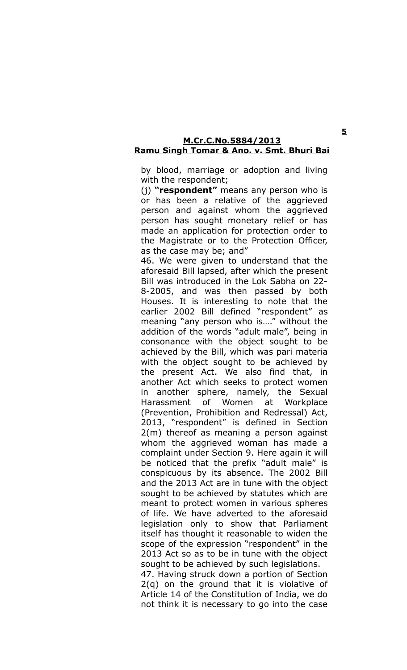by blood, marriage or adoption and living with the respondent;

(j) **"respondent"** means any person who is or has been a relative of the aggrieved person and against whom the aggrieved person has sought monetary relief or has made an application for protection order to the Magistrate or to the Protection Officer, as the case may be; and"

46. We were given to understand that the aforesaid Bill lapsed, after which the present Bill was introduced in the Lok Sabha on 22- 8-2005, and was then passed by both Houses. It is interesting to note that the earlier 2002 Bill defined "respondent" as meaning "any person who is…." without the addition of the words "adult male", being in consonance with the object sought to be achieved by the Bill, which was pari materia with the object sought to be achieved by the present Act. We also find that, in another Act which seeks to protect women in another sphere, namely, the Sexual Harassment of Women at Workplace (Prevention, Prohibition and Redressal) Act, 2013, "respondent" is defined in Section 2(m) thereof as meaning a person against whom the aggrieved woman has made a complaint under Section 9. Here again it will be noticed that the prefix "adult male" is conspicuous by its absence. The 2002 Bill and the 2013 Act are in tune with the object sought to be achieved by statutes which are meant to protect women in various spheres of life. We have adverted to the aforesaid legislation only to show that Parliament itself has thought it reasonable to widen the scope of the expression "respondent" in the 2013 Act so as to be in tune with the object sought to be achieved by such legislations. 47. Having struck down a portion of Section 2(q) on the ground that it is violative of

Article 14 of the Constitution of India, we do not think it is necessary to go into the case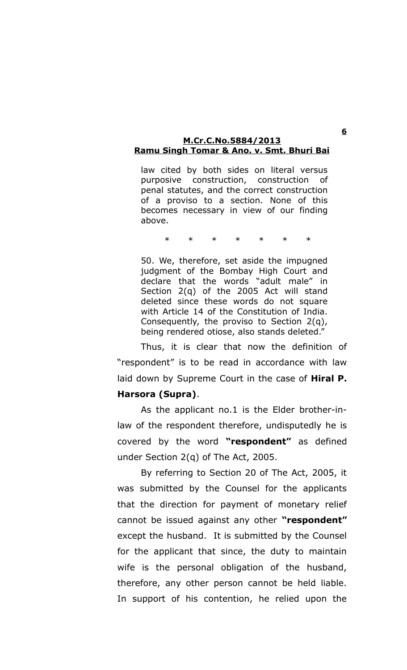law cited by both sides on literal versus purposive construction, construction of penal statutes, and the correct construction of a proviso to a section. None of this becomes necessary in view of our finding above.

\* \* \* \* \* \* \*

50. We, therefore, set aside the impugned judgment of the Bombay High Court and declare that the words "adult male" in Section 2(q) of the 2005 Act will stand deleted since these words do not square with Article 14 of the Constitution of India. Consequently, the proviso to Section 2(q), being rendered otiose, also stands deleted."

Thus, it is clear that now the definition of "respondent" is to be read in accordance with law laid down by Supreme Court in the case of **Hiral P. Harsora (Supra)**.

As the applicant no.1 is the Elder brother-inlaw of the respondent therefore, undisputedly he is covered by the word **"respondent"** as defined under Section 2(q) of The Act, 2005.

By referring to Section 20 of The Act, 2005, it was submitted by the Counsel for the applicants that the direction for payment of monetary relief cannot be issued against any other **"respondent"** except the husband. It is submitted by the Counsel for the applicant that since, the duty to maintain wife is the personal obligation of the husband, therefore, any other person cannot be held liable. In support of his contention, he relied upon the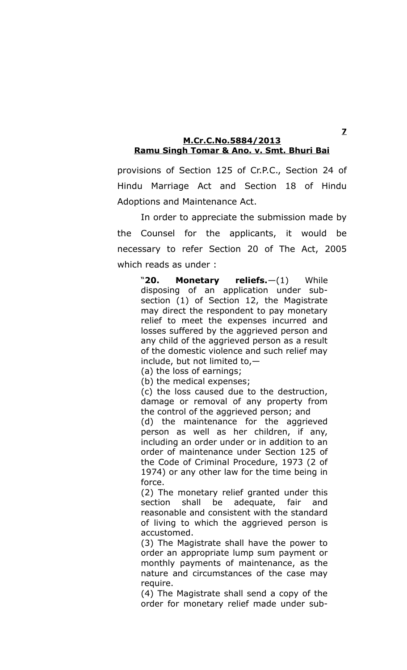provisions of Section 125 of Cr.P.C., Section 24 of Hindu Marriage Act and Section 18 of Hindu Adoptions and Maintenance Act.

In order to appreciate the submission made by the Counsel for the applicants, it would be necessary to refer Section 20 of The Act, 2005 which reads as under :

"**20. Monetary reliefs.**—(1) While disposing of an application under subsection (1) of Section 12, the Magistrate may direct the respondent to pay monetary relief to meet the expenses incurred and losses suffered by the aggrieved person and any child of the aggrieved person as a result of the domestic violence and such relief may include, but not limited to,—

(a) the loss of earnings;

(b) the medical expenses;

(c) the loss caused due to the destruction, damage or removal of any property from the control of the aggrieved person; and

(d) the maintenance for the aggrieved person as well as her children, if any, including an order under or in addition to an order of maintenance under Section 125 of the Code of Criminal Procedure, 1973 (2 of 1974) or any other law for the time being in force.

(2) The monetary relief granted under this section shall be adequate, fair and reasonable and consistent with the standard of living to which the aggrieved person is accustomed.

(3) The Magistrate shall have the power to order an appropriate lump sum payment or monthly payments of maintenance, as the nature and circumstances of the case may require.

(4) The Magistrate shall send a copy of the order for monetary relief made under sub-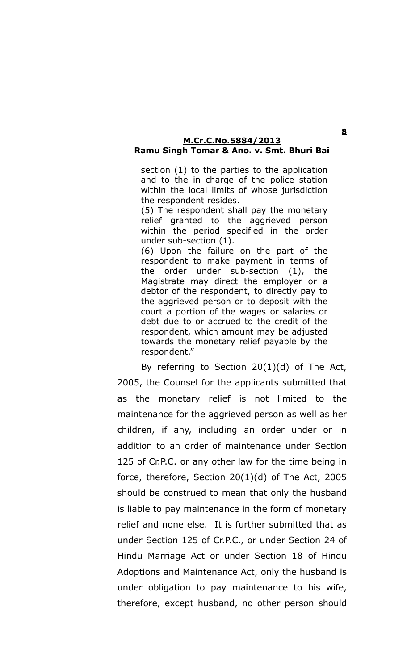section (1) to the parties to the application and to the in charge of the police station within the local limits of whose jurisdiction the respondent resides.

(5) The respondent shall pay the monetary relief granted to the aggrieved person within the period specified in the order under sub-section (1).

(6) Upon the failure on the part of the respondent to make payment in terms of the order under sub-section (1), the Magistrate may direct the employer or a debtor of the respondent, to directly pay to the aggrieved person or to deposit with the court a portion of the wages or salaries or debt due to or accrued to the credit of the respondent, which amount may be adjusted towards the monetary relief payable by the respondent."

By referring to Section  $20(1)(d)$  of The Act, 2005, the Counsel for the applicants submitted that as the monetary relief is not limited to the maintenance for the aggrieved person as well as her children, if any, including an order under or in addition to an order of maintenance under Section 125 of Cr.P.C. or any other law for the time being in force, therefore, Section 20(1)(d) of The Act, 2005 should be construed to mean that only the husband is liable to pay maintenance in the form of monetary relief and none else. It is further submitted that as under Section 125 of Cr.P.C., or under Section 24 of Hindu Marriage Act or under Section 18 of Hindu Adoptions and Maintenance Act, only the husband is under obligation to pay maintenance to his wife, therefore, except husband, no other person should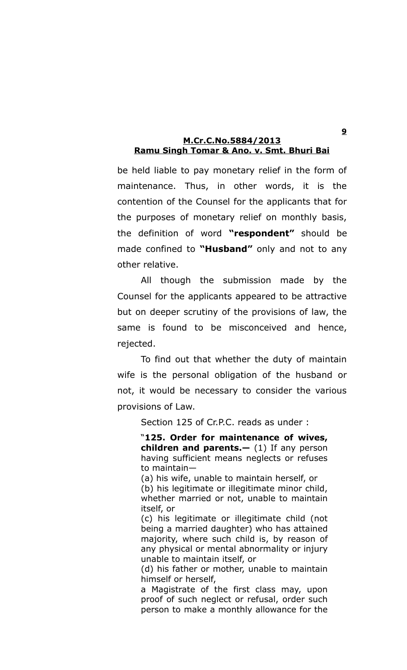be held liable to pay monetary relief in the form of maintenance. Thus, in other words, it is the contention of the Counsel for the applicants that for the purposes of monetary relief on monthly basis, the definition of word **"respondent"** should be made confined to **"Husband"** only and not to any other relative.

All though the submission made by the Counsel for the applicants appeared to be attractive but on deeper scrutiny of the provisions of law, the same is found to be misconceived and hence, rejected.

To find out that whether the duty of maintain wife is the personal obligation of the husband or not, it would be necessary to consider the various provisions of Law.

Section 125 of Cr.P.C. reads as under :

"**125. Order for maintenance of wives, children and parents.—** (1) If any person having sufficient means neglects or refuses to maintain—

(a) his wife, unable to maintain herself, or (b) his legitimate or illegitimate minor child, whether married or not, unable to maintain itself, or

(c) his legitimate or illegitimate child (not being a married daughter) who has attained majority, where such child is, by reason of any physical or mental abnormality or injury unable to maintain itself, or

(d) his father or mother, unable to maintain himself or herself,

a Magistrate of the first class may, upon proof of such neglect or refusal, order such person to make a monthly allowance for the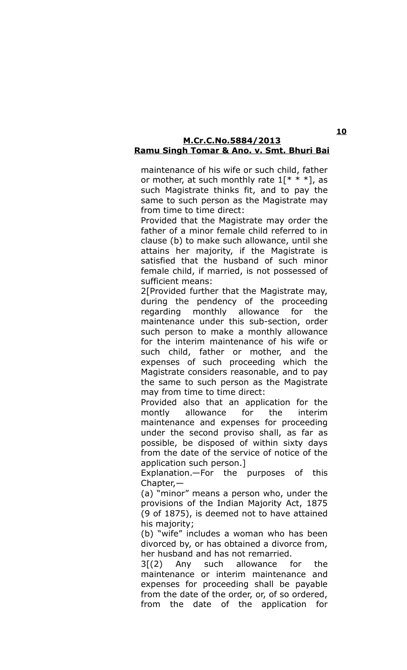maintenance of his wife or such child, father or mother, at such monthly rate  $1$ [\* \* \*], as such Magistrate thinks fit, and to pay the same to such person as the Magistrate may from time to time direct:

Provided that the Magistrate may order the father of a minor female child referred to in clause (b) to make such allowance, until she attains her majority, if the Magistrate is satisfied that the husband of such minor female child, if married, is not possessed of sufficient means:

2<sup>[</sup>Provided further that the Magistrate may, during the pendency of the proceeding regarding monthly allowance for the maintenance under this sub-section, order such person to make a monthly allowance for the interim maintenance of his wife or such child, father or mother, and the expenses of such proceeding which the Magistrate considers reasonable, and to pay the same to such person as the Magistrate may from time to time direct:

Provided also that an application for the montly allowance for the interim maintenance and expenses for proceeding under the second proviso shall, as far as possible, be disposed of within sixty days from the date of the service of notice of the application such person.]

Explanation.—For the purposes of this Chapter,—

(a) "minor" means a person who, under the provisions of the Indian Majority Act, 1875 (9 of 1875), is deemed not to have attained his majority;

(b) "wife" includes a woman who has been divorced by, or has obtained a divorce from, her husband and has not remarried.

 $3(2)$  Any such allowance for the maintenance or interim maintenance and expenses for proceeding shall be payable from the date of the order, or, of so ordered, from the date of the application for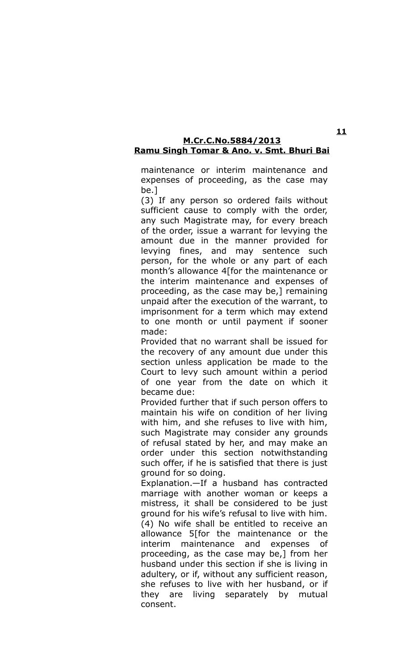maintenance or interim maintenance and expenses of proceeding, as the case may be.]

(3) If any person so ordered fails without sufficient cause to comply with the order, any such Magistrate may, for every breach of the order, issue a warrant for levying the amount due in the manner provided for levying fines, and may sentence such person, for the whole or any part of each month's allowance 4[for the maintenance or the interim maintenance and expenses of proceeding, as the case may be,] remaining unpaid after the execution of the warrant, to imprisonment for a term which may extend to one month or until payment if sooner made:

Provided that no warrant shall be issued for the recovery of any amount due under this section unless application be made to the Court to levy such amount within a period of one year from the date on which it became due:

Provided further that if such person offers to maintain his wife on condition of her living with him, and she refuses to live with him, such Magistrate may consider any grounds of refusal stated by her, and may make an order under this section notwithstanding such offer, if he is satisfied that there is just ground for so doing.

Explanation.—If a husband has contracted marriage with another woman or keeps a mistress, it shall be considered to be just ground for his wife's refusal to live with him. (4) No wife shall be entitled to receive an allowance 5[for the maintenance or the interim maintenance and expenses of proceeding, as the case may be,] from her husband under this section if she is living in adultery, or if, without any sufficient reason, she refuses to live with her husband, or if they are living separately by mutual consent.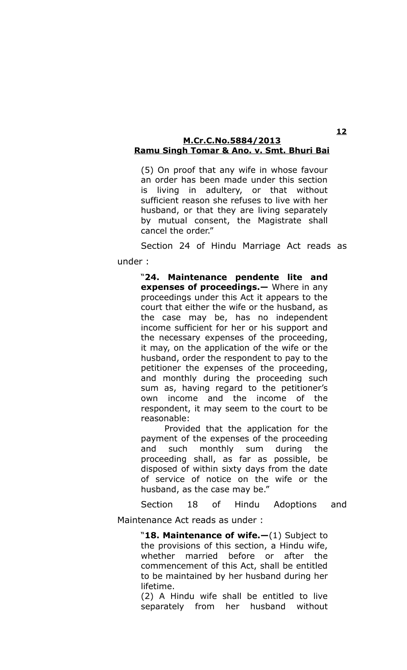(5) On proof that any wife in whose favour an order has been made under this section is living in adultery, or that without sufficient reason she refuses to live with her husband, or that they are living separately by mutual consent, the Magistrate shall cancel the order."

Section 24 of Hindu Marriage Act reads as under :

> "**24. Maintenance pendente lite and expenses of proceedings.—** Where in any proceedings under this Act it appears to the court that either the wife or the husband, as the case may be, has no independent income sufficient for her or his support and the necessary expenses of the proceeding, it may, on the application of the wife or the husband, order the respondent to pay to the petitioner the expenses of the proceeding, and monthly during the proceeding such sum as, having regard to the petitioner's own income and the income of the respondent, it may seem to the court to be reasonable:

> Provided that the application for the payment of the expenses of the proceeding and such monthly sum during the proceeding shall, as far as possible, be disposed of within sixty days from the date of service of notice on the wife or the husband, as the case may be."

Section 18 of Hindu Adoptions and

Maintenance Act reads as under :

"**18. Maintenance of wife.—**(1) Subject to the provisions of this section, a Hindu wife, whether married before or after the commencement of this Act, shall be entitled to be maintained by her husband during her lifetime.

(2) A Hindu wife shall be entitled to live separately from her husband without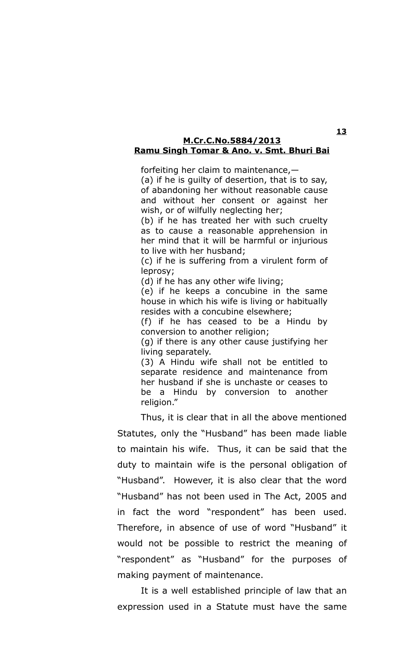forfeiting her claim to maintenance,—

(a) if he is guilty of desertion, that is to say, of abandoning her without reasonable cause and without her consent or against her wish, or of wilfully neglecting her;

(b) if he has treated her with such cruelty as to cause a reasonable apprehension in her mind that it will be harmful or injurious to live with her husband;

(c) if he is suffering from a virulent form of leprosy;

(d) if he has any other wife living;

(e) if he keeps a concubine in the same house in which his wife is living or habitually resides with a concubine elsewhere;

(f) if he has ceased to be a Hindu by conversion to another religion;

(g) if there is any other cause justifying her living separately.

(3) A Hindu wife shall not be entitled to separate residence and maintenance from her husband if she is unchaste or ceases to be a Hindu by conversion to another religion."

Thus, it is clear that in all the above mentioned Statutes, only the "Husband" has been made liable to maintain his wife. Thus, it can be said that the duty to maintain wife is the personal obligation of "Husband". However, it is also clear that the word "Husband" has not been used in The Act, 2005 and in fact the word "respondent" has been used. Therefore, in absence of use of word "Husband" it would not be possible to restrict the meaning of "respondent" as "Husband" for the purposes of making payment of maintenance.

It is a well established principle of law that an expression used in a Statute must have the same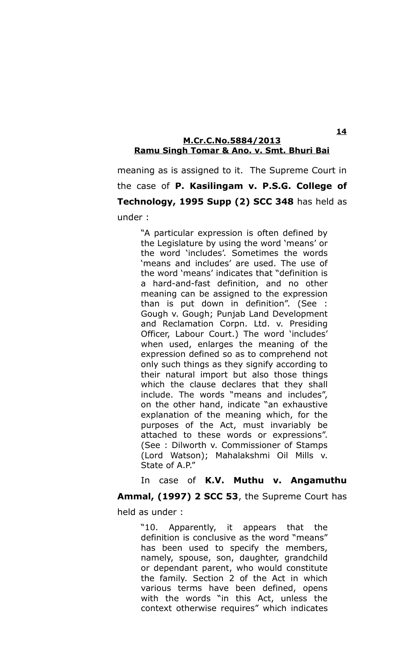meaning as is assigned to it. The Supreme Court in the case of **P. Kasilingam v. P.S.G. College of Technology, 1995 Supp (2) SCC 348** has held as under :

> "A particular expression is often defined by the Legislature by using the word 'means' or the word 'includes'. Sometimes the words 'means and includes' are used. The use of the word 'means' indicates that "definition is a hard-and-fast definition, and no other meaning can be assigned to the expression than is put down in definition". (See : Gough v. Gough; Punjab Land Development and Reclamation Corpn. Ltd. v. Presiding Officer, Labour Court.) The word 'includes' when used, enlarges the meaning of the expression defined so as to comprehend not only such things as they signify according to their natural import but also those things which the clause declares that they shall include. The words "means and includes", on the other hand, indicate "an exhaustive explanation of the meaning which, for the purposes of the Act, must invariably be attached to these words or expressions". (See : Dilworth v. Commissioner of Stamps (Lord Watson); Mahalakshmi Oil Mills v. State of A.P."

#### In case of **K.V. Muthu v. Angamuthu**

**Ammal, (1997) 2 SCC 53**, the Supreme Court has

held as under :

"10. Apparently, it appears that the definition is conclusive as the word "means" has been used to specify the members, namely, spouse, son, daughter, grandchild or dependant parent, who would constitute the family. Section 2 of the Act in which various terms have been defined, opens with the words "in this Act, unless the context otherwise requires" which indicates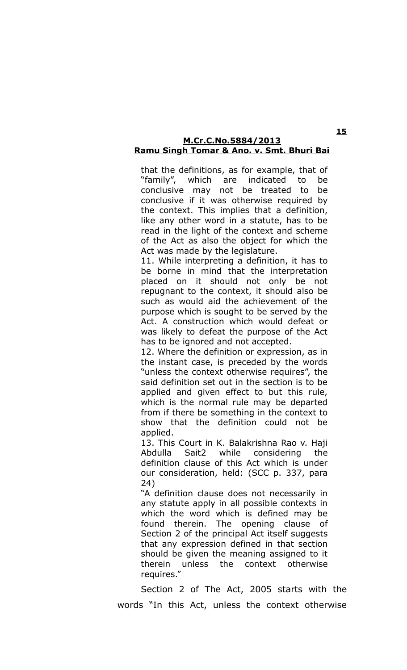that the definitions, as for example, that of "family", which are indicated to be conclusive may not be treated to be conclusive if it was otherwise required by the context. This implies that a definition, like any other word in a statute, has to be read in the light of the context and scheme of the Act as also the object for which the Act was made by the legislature.

11. While interpreting a definition, it has to be borne in mind that the interpretation placed on it should not only be not repugnant to the context, it should also be such as would aid the achievement of the purpose which is sought to be served by the Act. A construction which would defeat or was likely to defeat the purpose of the Act has to be ignored and not accepted.

12. Where the definition or expression, as in the instant case, is preceded by the words "unless the context otherwise requires", the said definition set out in the section is to be applied and given effect to but this rule, which is the normal rule may be departed from if there be something in the context to show that the definition could not be applied.

13. This Court in K. Balakrishna Rao v. Haji Abdulla Sait2 while considering the definition clause of this Act which is under our consideration, held: (SCC p. 337, para 24)

"A definition clause does not necessarily in any statute apply in all possible contexts in which the word which is defined may be found therein. The opening clause of Section 2 of the principal Act itself suggests that any expression defined in that section should be given the meaning assigned to it therein unless the context otherwise requires."

Section 2 of The Act, 2005 starts with the words "In this Act, unless the context otherwise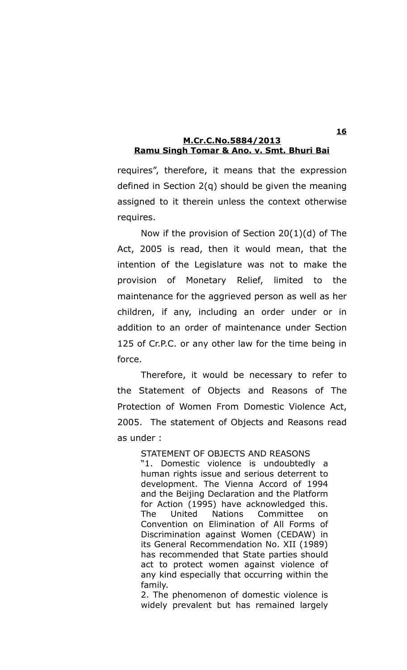requires", therefore, it means that the expression defined in Section 2(q) should be given the meaning assigned to it therein unless the context otherwise requires.

Now if the provision of Section 20(1)(d) of The Act, 2005 is read, then it would mean, that the intention of the Legislature was not to make the provision of Monetary Relief, limited to the maintenance for the aggrieved person as well as her children, if any, including an order under or in addition to an order of maintenance under Section 125 of Cr.P.C. or any other law for the time being in force.

Therefore, it would be necessary to refer to the Statement of Objects and Reasons of The Protection of Women From Domestic Violence Act, 2005. The statement of Objects and Reasons read as under :

> STATEMENT OF OBJECTS AND REASONS "1. Domestic violence is undoubtedly a human rights issue and serious deterrent to development. The Vienna Accord of 1994 and the Beijing Declaration and the Platform for Action (1995) have acknowledged this. The United Nations Committee on Convention on Elimination of All Forms of Discrimination against Women (CEDAW) in its General Recommendation No. XII (1989) has recommended that State parties should act to protect women against violence of any kind especially that occurring within the family.

> 2. The phenomenon of domestic violence is widely prevalent but has remained largely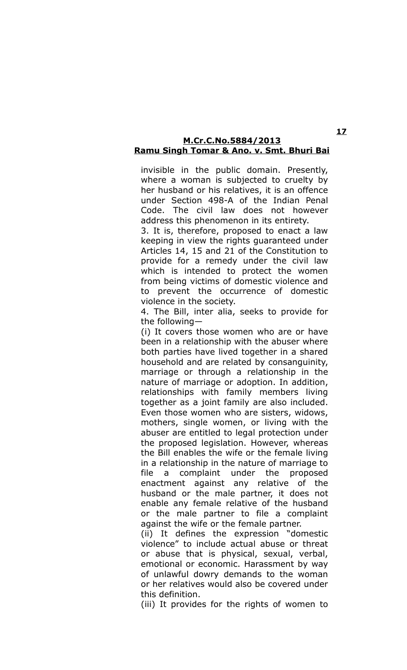invisible in the public domain. Presently, where a woman is subjected to cruelty by her husband or his relatives, it is an offence under Section 498-A of the Indian Penal Code. The civil law does not however address this phenomenon in its entirety.

3. It is, therefore, proposed to enact a law keeping in view the rights guaranteed under Articles 14, 15 and 21 of the Constitution to provide for a remedy under the civil law which is intended to protect the women from being victims of domestic violence and to prevent the occurrence of domestic violence in the society.

4. The Bill, inter alia, seeks to provide for the following—

(i) It covers those women who are or have been in a relationship with the abuser where both parties have lived together in a shared household and are related by consanguinity, marriage or through a relationship in the nature of marriage or adoption. In addition, relationships with family members living together as a joint family are also included. Even those women who are sisters, widows, mothers, single women, or living with the abuser are entitled to legal protection under the proposed legislation. However, whereas the Bill enables the wife or the female living in a relationship in the nature of marriage to file a complaint under the proposed enactment against any relative of the husband or the male partner, it does not enable any female relative of the husband or the male partner to file a complaint against the wife or the female partner.

(ii) It defines the expression "domestic violence" to include actual abuse or threat or abuse that is physical, sexual, verbal, emotional or economic. Harassment by way of unlawful dowry demands to the woman or her relatives would also be covered under this definition.

(iii) It provides for the rights of women to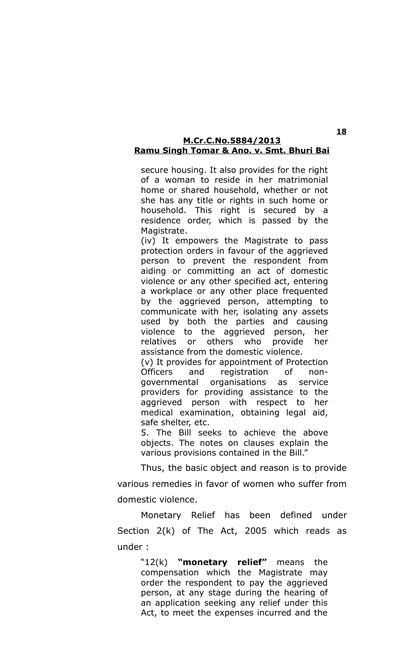secure housing. It also provides for the right of a woman to reside in her matrimonial home or shared household, whether or not she has any title or rights in such home or household. This right is secured by a residence order, which is passed by the Magistrate.

(iv) It empowers the Magistrate to pass protection orders in favour of the aggrieved person to prevent the respondent from aiding or committing an act of domestic violence or any other specified act, entering a workplace or any other place frequented by the aggrieved person, attempting to communicate with her, isolating any assets used by both the parties and causing violence to the aggrieved person, her relatives or others who provide her assistance from the domestic violence.

(v) It provides for appointment of Protection Officers and registration of nongovernmental organisations as service providers for providing assistance to the aggrieved person with respect to her medical examination, obtaining legal aid, safe shelter, etc.

5. The Bill seeks to achieve the above objects. The notes on clauses explain the various provisions contained in the Bill."

Thus, the basic object and reason is to provide various remedies in favor of women who suffer from domestic violence.

Monetary Relief has been defined under Section 2(k) of The Act, 2005 which reads as under :

> "12(k) **"monetary relief"** means the compensation which the Magistrate may order the respondent to pay the aggrieved person, at any stage during the hearing of an application seeking any relief under this Act, to meet the expenses incurred and the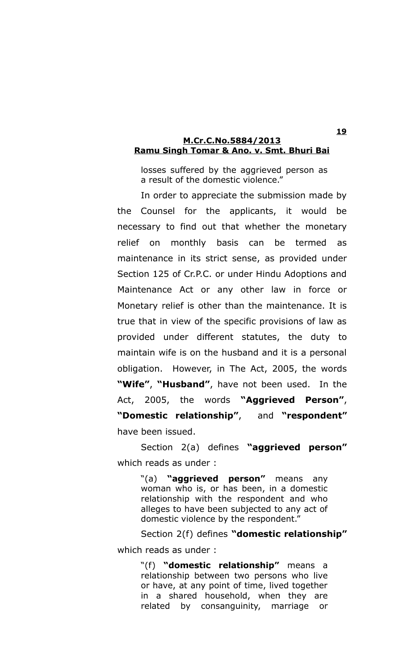losses suffered by the aggrieved person as a result of the domestic violence."

In order to appreciate the submission made by the Counsel for the applicants, it would be necessary to find out that whether the monetary relief on monthly basis can be termed as maintenance in its strict sense, as provided under Section 125 of Cr.P.C. or under Hindu Adoptions and Maintenance Act or any other law in force or Monetary relief is other than the maintenance. It is true that in view of the specific provisions of law as provided under different statutes, the duty to maintain wife is on the husband and it is a personal obligation. However, in The Act, 2005, the words **"Wife"**, **"Husband"**, have not been used. In the Act, 2005, the words **"Aggrieved Person"**, **"Domestic relationship"**, and **"respondent"** have been issued.

Section 2(a) defines **"aggrieved person"** which reads as under :

> "(a) **"aggrieved person"** means any woman who is, or has been, in a domestic relationship with the respondent and who alleges to have been subjected to any act of domestic violence by the respondent."

Section 2(f) defines **"domestic relationship"** which reads as under :

> "(f) **"domestic relationship"** means a relationship between two persons who live or have, at any point of time, lived together in a shared household, when they are related by consanguinity, marriage or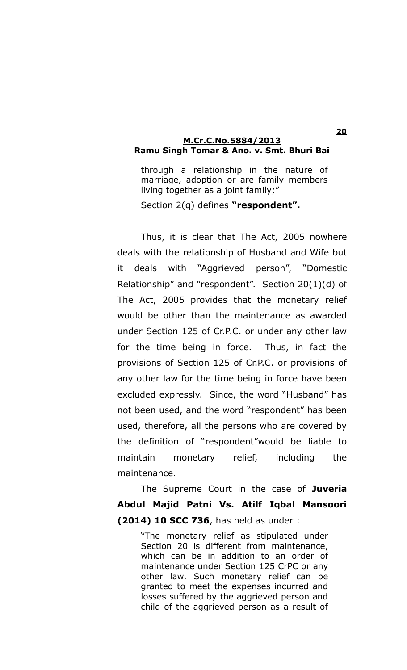through a relationship in the nature of marriage, adoption or are family members living together as a joint family;" Section 2(q) defines **"respondent".**

Thus, it is clear that The Act, 2005 nowhere deals with the relationship of Husband and Wife but it deals with "Aggrieved person", "Domestic Relationship" and "respondent". Section 20(1)(d) of The Act, 2005 provides that the monetary relief would be other than the maintenance as awarded under Section 125 of Cr.P.C. or under any other law for the time being in force. Thus, in fact the provisions of Section 125 of Cr.P.C. or provisions of any other law for the time being in force have been excluded expressly. Since, the word "Husband" has not been used, and the word "respondent" has been used, therefore, all the persons who are covered by the definition of "respondent"would be liable to maintain monetary relief, including the maintenance.

The Supreme Court in the case of **Juveria Abdul Majid Patni Vs. Atilf Iqbal Mansoori (2014) 10 SCC 736**, has held as under :

> "The monetary relief as stipulated under Section 20 is different from maintenance, which can be in addition to an order of maintenance under Section 125 CrPC or any other law. Such monetary relief can be granted to meet the expenses incurred and losses suffered by the aggrieved person and child of the aggrieved person as a result of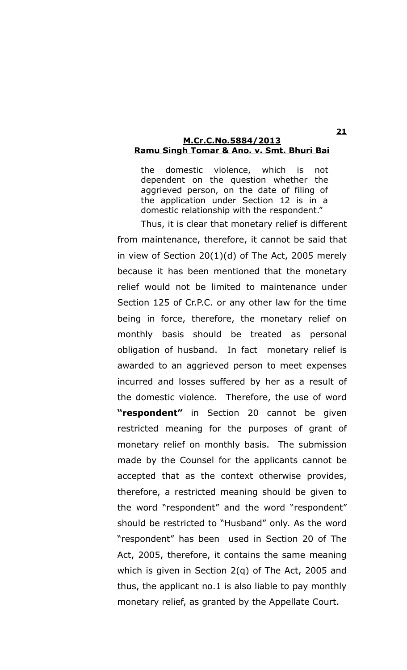the domestic violence, which is not dependent on the question whether the aggrieved person, on the date of filing of the application under Section 12 is in a domestic relationship with the respondent."

Thus, it is clear that monetary relief is different from maintenance, therefore, it cannot be said that in view of Section 20(1)(d) of The Act, 2005 merely because it has been mentioned that the monetary relief would not be limited to maintenance under Section 125 of Cr.P.C. or any other law for the time being in force, therefore, the monetary relief on monthly basis should be treated as personal obligation of husband. In fact monetary relief is awarded to an aggrieved person to meet expenses incurred and losses suffered by her as a result of the domestic violence. Therefore, the use of word **"respondent"** in Section 20 cannot be given restricted meaning for the purposes of grant of monetary relief on monthly basis. The submission made by the Counsel for the applicants cannot be accepted that as the context otherwise provides, therefore, a restricted meaning should be given to the word "respondent" and the word "respondent" should be restricted to "Husband" only. As the word "respondent" has been used in Section 20 of The Act, 2005, therefore, it contains the same meaning which is given in Section 2(q) of The Act, 2005 and thus, the applicant no.1 is also liable to pay monthly monetary relief, as granted by the Appellate Court.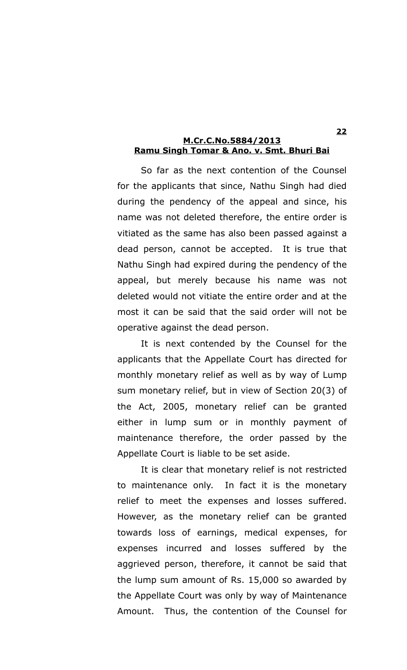So far as the next contention of the Counsel for the applicants that since, Nathu Singh had died during the pendency of the appeal and since, his name was not deleted therefore, the entire order is vitiated as the same has also been passed against a dead person, cannot be accepted. It is true that Nathu Singh had expired during the pendency of the appeal, but merely because his name was not deleted would not vitiate the entire order and at the most it can be said that the said order will not be operative against the dead person.

It is next contended by the Counsel for the applicants that the Appellate Court has directed for monthly monetary relief as well as by way of Lump sum monetary relief, but in view of Section 20(3) of the Act, 2005, monetary relief can be granted either in lump sum or in monthly payment of maintenance therefore, the order passed by the Appellate Court is liable to be set aside.

It is clear that monetary relief is not restricted to maintenance only. In fact it is the monetary relief to meet the expenses and losses suffered. However, as the monetary relief can be granted towards loss of earnings, medical expenses, for expenses incurred and losses suffered by the aggrieved person, therefore, it cannot be said that the lump sum amount of Rs. 15,000 so awarded by the Appellate Court was only by way of Maintenance Amount. Thus, the contention of the Counsel for